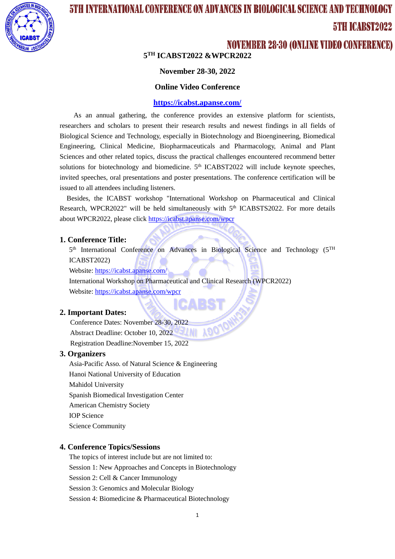

# 5TH INTERNATIONAL CONFERENCE ON ADVANCES IN BIOLOGICAL SCIENCE AND TECHNOLOGY 5TH ICARST2022

### **NOVEMBER 28-30 (ONLINE VIDEO CONFERENCE)**

**5 TH ICABST2022 &WPCR2022**

#### **November 28-30, 2022**

#### **Online Video Conference**

#### **<https://icabst.apanse.com/>**

As an annual gathering, the conference provides an extensive platform for scientists, researchers and scholars to present their research results and newest findings in all fields of Biological Science and Technology, especially in Biotechnology and Bioengineering, Biomedical Engineering, Clinical Medicine, Biopharmaceuticals and Pharmacology, Animal and Plant Sciences and other related topics, discuss the practical challenges encountered recommend better solutions for biotechnology and biomedicine.  $5<sup>th</sup>$  ICABST2022 will include keynote speeches, invited speeches, oral presentations and poster presentations. The conference certification will be issued to all attendees including listeners.

Besides, the ICABST workshop "International Workshop on Pharmaceutical and Clinical Research, WPCR2022" will be held simultaneously with 5<sup>th</sup> ICABSTS2022. For more details about WPCR2022, please clic[k https://icabst.apanse.com/wpcr](https://icabst.apanse.com/wpcr)

#### **1. Conference Title:**

5<sup>th</sup> International Conference on Advances in Biological Science and Technology (5<sup>TH</sup> ICABST2022)

Website:<https://icabst.apanse.com/>

International Workshop on Pharmaceutical and Clinical Research (WPCR2022) Website:<https://icabst.apanse.com/wpcr>

#### **2. Important Dates:**

 Conference Dates: November 28-30, 2022 Abstract Deadline: October 10, 2022 LMI Registration Deadline:November 15, 2022

#### **3. Organizers**

Asia-Pacific Asso. of Natural Science & Engineering Hanoi National University of Education Mahidol University Spanish Biomedical Investigation Center American Chemistry Society IOP Science Science Community

#### **4. Conference Topics/Sessions**

The topics of interest include but are not limited to: Session 1: New Approaches and Concepts in Biotechnology Session 2: Cell & Cancer Immunology Session 3: Genomics and Molecular Biology Session 4: Biomedicine & Pharmaceutical Biotechnology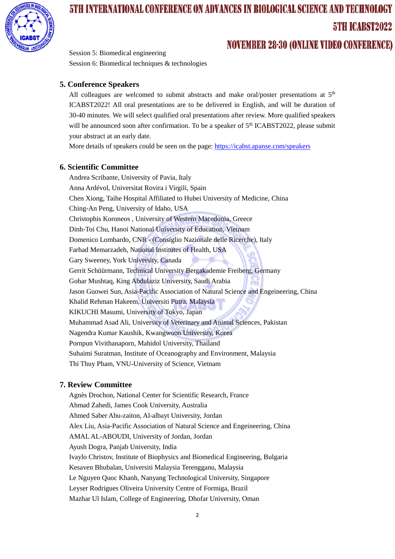

# **5TH INTERNATIONAL CONFERENCE ON ADVANCES IN BIOLOGICAL SCIENCE AND TECHNOLOGY** 5TH ICARST2022 **NOVEMBER 28-30 (ONLINE VIDEO CONFERENCE)**

Session 5: Biomedical engineering Session 6: Biomedical techniques & technologies

#### **5. Conference Speakers**

All colleagues are welcomed to submit abstracts and make oral/poster presentations at  $5<sup>th</sup>$ ICABST2022! All oral presentations are to be delivered in English, and will be duration of 30-40 minutes. We will select qualified oral presentations after review. More qualified speakers will be announced soon after confirmation. To be a speaker of 5<sup>th</sup> ICABST2022, please submit your abstract at an early date.

More details of speakers could be seen on the page:<https://icabst.apanse.com/speakers>

#### **6. Scientific Committee**

Andrea Scribante, University of Pavia, Italy Anna Ardévol, Universitat Rovira i Virgili, Spain Chen Xiong, Taihe Hospital Affiliated to Hubei University of Medicine, China Ching-An Peng, University of Idaho, USA Christophis Koroneos , University of Western Macedonia, Greece Dinh-Toi Chu, Hanoi National University of Education, Vietnam Domenico Lombardo, CNR - (Consiglio Nazionale delle Ricerche), Italy Farhad Memarzadeh, National Institutes of Health, USA Gary Sweeney, York University, Canada Gerrit Schüürmann, Technical University Bergakademie Freiberg, Germany Gohar Mushtaq, King Abdulaziz University, Saudi Arabia Jason Guowei Sun, Asia-Pacific Association of Natural Science and Engeineering, China Khalid Rehman Hakeem, Universiti Putra, Malaysia KIKUCHI Masumi, University of Tokyo, Japan Muhammad Asad Ali, University of Veterinary and Animal Sciences, Pakistan Nagendra Kumar Kaushik, Kwangwoon University, Korea Pornpun Vivithanaporn, Mahidol University, Thailand Suhaimi Suratman, Institute of Oceanography and Environment, Malaysia Thi Thuy Pham, VNU-University of Science, Vietnam

#### **7. Review Committee**

Agnès Drochon, National Center for Scientific Research, France Ahmad Zahedi, James Cook University, Australia Ahmed Saber Abu-zaiton, Al-albayt University, Jordan Alex Liu, Asia-Pacific Association of Natural Science and Engeineering, China AMAL AL-ABOUDI, University of Jordan, Jordan Ayush Dogra, Panjab University, India Ivaylo Christov, Institute of Biophysics and Biomedical Engineering, Bulgaria Kesaven Bhubalan, Universiti Malaysia Terengganu, Malaysia Le Nguyen Quoc Khanh, Nanyang Technological University, Singapore Leyser Rodrigues Oliveira University Centre of Formiga, Brazil Mazhar Ul Islam, College of Engineering, Dhofar University, Oman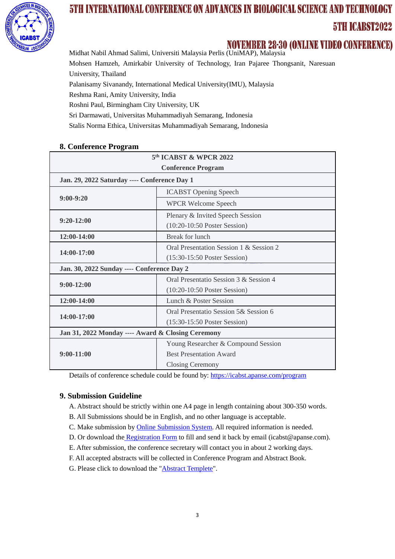

# 5TH INTERNATIONAL CONFERENCE ON ADVANCES IN BIOLOGICAL SCIENCE AND TECHNOLOGY 5TH ICABST2022

MOVEMBER 28-30 (ONLINE VIDEO CONFERENCE)<br>Midhat Nabil Ahmad Salimi, Universiti Malaysia Perlis (UniMAP), Malaysia Mohsen Hamzeh, Amirkabir University of Technology, Iran Pajaree Thongsanit, Naresuan University, Thailand Palanisamy Sivanandy, International Medical University(IMU), Malaysia Reshma Rani, Amity University, India Roshni Paul, Birmingham City University, UK Sri Darmawati, Universitas Muhammadiyah Semarang, Indonesia

Stalis Norma Ethica, Universitas Muhammadiyah Semarang, Indonesia

|  | 8. Conference Program |  |
|--|-----------------------|--|
|--|-----------------------|--|

| 5 <sup>th</sup> ICABST & WPCR 2022                |                                         |  |  |
|---------------------------------------------------|-----------------------------------------|--|--|
| <b>Conference Program</b>                         |                                         |  |  |
| Jan. 29, 2022 Saturday ---- Conference Day 1      |                                         |  |  |
|                                                   | <b>ICABST Opening Speech</b>            |  |  |
| $9:00-9:20$                                       | <b>WPCR Welcome Speech</b>              |  |  |
|                                                   | Plenary & Invited Speech Session        |  |  |
| $9:20-12:00$                                      | $(10:20-10:50$ Poster Session)          |  |  |
| $12:00-14:00$                                     | Break for lunch                         |  |  |
| 14:00-17:00                                       | Oral Presentation Session 1 & Session 2 |  |  |
|                                                   | $(15:30-15:50$ Poster Session)          |  |  |
| Jan. 30, 2022 Sunday ---- Conference Day 2        |                                         |  |  |
| $9:00-12:00$                                      | Oral Presentatio Session 3 & Session 4  |  |  |
|                                                   | $(10:20-10:50$ Poster Session)          |  |  |
| $12:00-14:00$                                     | Lunch & Poster Session                  |  |  |
| 14:00-17:00                                       | Oral Presentatio Session 5& Session 6   |  |  |
|                                                   | $(15:30-15:50$ Poster Session)          |  |  |
| Jan 31, 2022 Monday ---- Award & Closing Ceremony |                                         |  |  |
|                                                   | Young Researcher & Compound Session     |  |  |
| $9:00-11:00$                                      | <b>Best Presentation Award</b>          |  |  |
|                                                   | Closing Ceremony                        |  |  |

Details of conference schedule could be found by:<https://icabst.apanse.com/program>

### **9. Submission Guideline**

- A. Abstract should be strictly within one A4 page in length containing about 300-350 words.
- B. All Submissions should be in English, and no other language is acceptable.
- C. Make submission by [Online Submission System.](https://icabst.apanse.com/submit) All required information is needed.
- D. Or download the [Registration Form](https://icabst.apanse.com/cn/download/ICABST-Registration-Form2022.xlsx) to fill and send it back by email (icabst@apanse.com).
- E. After submission, the conference secretary will contact you in about 2 working days.
- F. All accepted abstracts will be collected in Conference Program and Abstract Book.
- G. Please click to download the ["Abstract Templete"](https://icabst.apanse.com/cn/download/ICABST-Abstract-Template.doc).